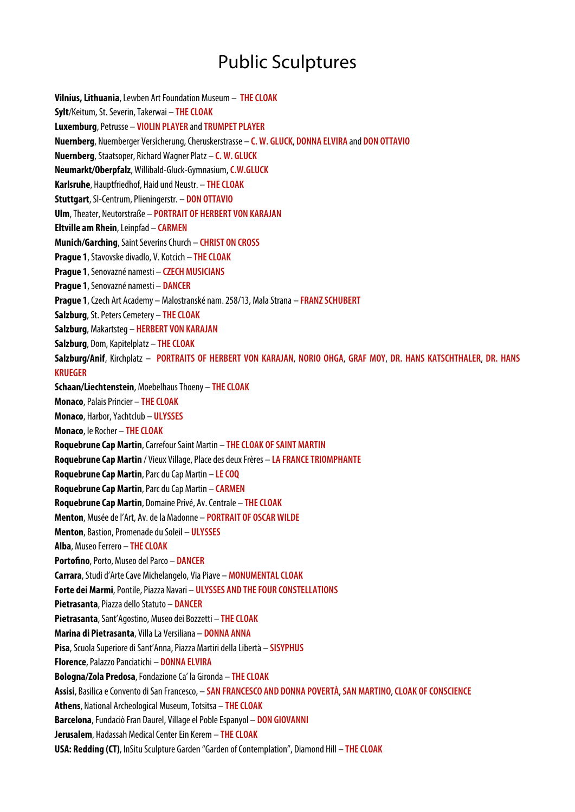## Public Sculptures

**Vilnius, Lithuania**, Lewben Art Foundation Museum – **THE CLOAK Sylt**/Keitum, St. Severin, Takerwai – **THE CLOAK Luxemburg**, Petrusse – **VIOLIN PLAYER** and **TRUMPET PLAYER Nuernberg**, Nuernberger Versicherung, Cheruskerstrasse – **C. W. GLUCK**, **DONNA ELVIRA** and **DON OTTAVIO Nuernberg**, Staatsoper, Richard Wagner Platz – **C. W. GLUCK Neumarkt/Oberpfalz**, Willibald-Gluck-Gymnasium, **C.W.GLUCK Karlsruhe**, Hauptfriedhof, Haid und Neustr. – **THE CLOAK Stuttgart**, SI-Centrum, Plieningerstr. – **DON OTTAVIO Ulm**, Theater, Neutorstraße – **PORTRAIT OF HERBERT VON KARAJAN Eltville am Rhein**, Leinpfad – **CARMEN Munich/Garching**, Saint Severins Church – **CHRIST ON CROSS Prague 1**, Stavovske divadlo, V. Kotcich – **THE CLOAK Prague 1**, Senovazné namesti – **CZECH MUSICIANS Prague 1**, Senovazné namesti – **DANCER Prague 1**, Czech Art Academy – Malostranské nam. 258/13, Mala Strana – **FRANZ SCHUBERT Salzburg**, St. Peters Cemetery – **THE CLOAK Salzburg**, Makartsteg – **HERBERT VON KARAJAN Salzburg**, Dom, Kapitelplatz – **THE CLOAK Salzburg/Anif**, Kirchplatz – **PORTRAITS OF HERBERT VON KARAJAN**, **NORIO OHGA**, **GRAF MOY**, **DR. HANS KATSCHTHALER**, **DR. HANS KRUEGER Schaan/Liechtenstein**, Moebelhaus Thoeny – **THE CLOAK Monaco**, Palais Princier – **THE CLOAK Monaco**, Harbor, Yachtclub – **ULYSSES Monaco**, le Rocher – **THE CLOAK Roquebrune Cap Martin**, Carrefour Saint Martin – **THE CLOAK OF SAINT MARTIN Roquebrune Cap Martin** / Vieux Village, Place des deux Frères – **LA FRANCE TRIOMPHANTE Roquebrune Cap Martin**, Parc du Cap Martin – **LE COQ Roquebrune Cap Martin**, Parc du Cap Martin – **CARMEN Roquebrune Cap Martin**, Domaine Privé, Av. Centrale – **THE CLOAK Menton**, Musée de l'Art, Av. de la Madonne – **PORTRAIT OF OSCAR WILDE Menton**, Bastion, Promenade du Soleil – **ULYSSES Alba**, Museo Ferrero – **THE CLOAK Portofino**, Porto, Museo del Parco – DANCER **Carrara**, Studi d'Arte Cave Michelangelo, Via Piave – **MONUMENTAL CLOAK Forte dei Marmi**, Pontile, Piazza Navari – **ULYSSES AND THE FOUR CONSTELLATIONS Pietrasanta**, Piazza dello Statuto – **DANCER Pietrasanta**, Sant'Agostino, Museo dei Bozzetti – **THE CLOAK Marina di Pietrasanta**, Villa La Versiliana – **DONNA ANNA Pisa**, Scuola Superiore di Sant'Anna, Piazza Martiri della Libertà – **SISYPHUS Florence**, Palazzo Panciatichi – **DONNA ELVIRA Bologna/Zola Predosa**, Fondazione Ca' la Gironda – **THE CLOAK Assisi**, Basilica e Convento di San Francesco, – **SAN FRANCESCO AND DONNA POVERTÀ**, **SAN MARTINO**, **CLOAK OF CONSCIENCE Athens**, National Archeological Museum, Totsitsa – **THE CLOAK Barcelona**, Fundaciò Fran Daurel, Village el Poble Espanyol – **DON GIOVANNI Jerusalem**, Hadassah Medical Center Ein Kerem – **THE CLOAK USA: Redding (CT)**, InSitu Sculpture Garden "Garden of Contemplation", Diamond Hill – **THE CLOAK**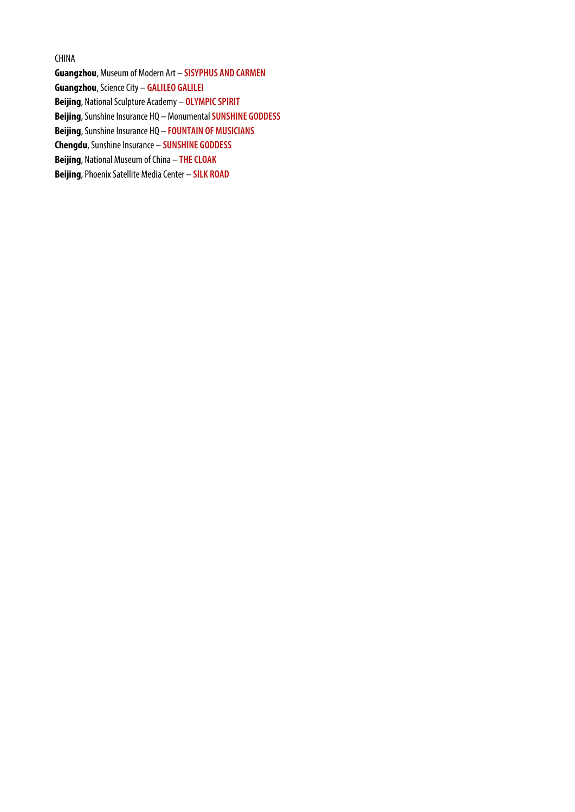## CHINA

**Guangzhou**, Museum of Modern Art – **SISYPHUS AND CARMEN Guangzhou**, Science City – **GALILEO GALILEI Beijing**, National Sculpture Academy – **OLYMPIC SPIRIT Beijing**, Sunshine Insurance HQ – Monumental **SUNSHINE GODDESS Beijing**, Sunshine Insurance HQ – **FOUNTAIN OF MUSICIANS Chengdu**, Sunshine Insurance – **SUNSHINE GODDESS Beijing**, National Museum of China – **THE CLOAK Beijing**, Phoenix Satellite Media Center – **SILK ROAD**